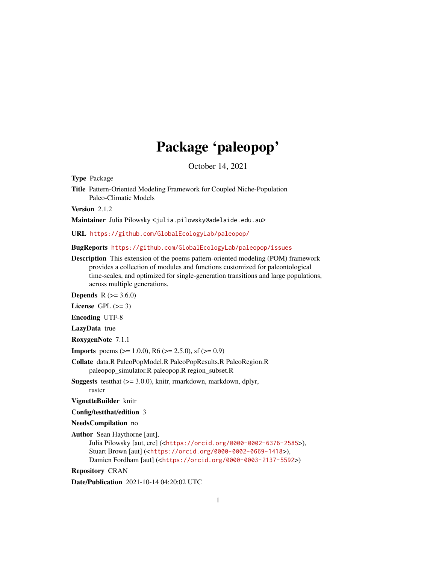## Package 'paleopop'

October 14, 2021

<span id="page-0-0"></span>Type Package

Title Pattern-Oriented Modeling Framework for Coupled Niche-Population Paleo-Climatic Models

Version 2.1.2

Maintainer Julia Pilowsky <julia.pilowsky@adelaide.edu.au>

URL <https://github.com/GlobalEcologyLab/paleopop/>

BugReports <https://github.com/GlobalEcologyLab/paleopop/issues>

Description This extension of the poems pattern-oriented modeling (POM) framework provides a collection of modules and functions customized for paleontological time-scales, and optimized for single-generation transitions and large populations, across multiple generations.

**Depends**  $R (= 3.6.0)$ 

License GPL  $(>= 3)$ 

Encoding UTF-8

LazyData true

RoxygenNote 7.1.1

**Imports** poems ( $> = 1.0.0$ ), R6 ( $> = 2.5.0$ ), sf ( $> = 0.9$ )

- Collate data.R PaleoPopModel.R PaleoPopResults.R PaleoRegion.R paleopop\_simulator.R paleopop.R region\_subset.R
- Suggests testthat (>= 3.0.0), knitr, rmarkdown, markdown, dplyr, raster

VignetteBuilder knitr

Config/testthat/edition 3

NeedsCompilation no

Author Sean Haythorne [aut],

Julia Pilowsky [aut, cre] (<<https://orcid.org/0000-0002-6376-2585>>), Stuart Brown [aut] (<<https://orcid.org/0000-0002-0669-1418>>), Damien Fordham [aut] (<<https://orcid.org/0000-0003-2137-5592>>)

Repository CRAN

Date/Publication 2021-10-14 04:20:02 UTC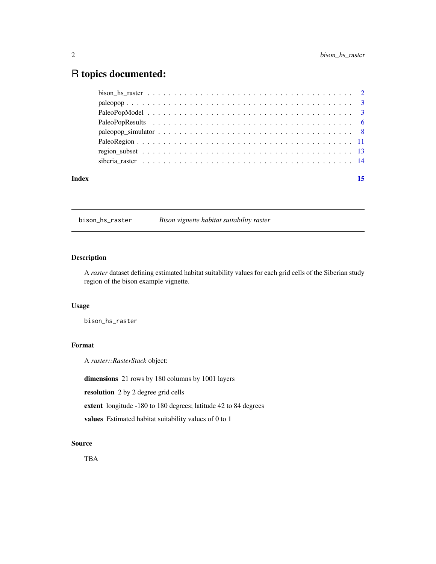## <span id="page-1-0"></span>R topics documented:

| Index | 15 |
|-------|----|
|       |    |
|       |    |
|       |    |
|       |    |
|       |    |
|       |    |
|       |    |
|       |    |

bison\_hs\_raster *Bison vignette habitat suitability raster*

### Description

A *raster* dataset defining estimated habitat suitability values for each grid cells of the Siberian study region of the bison example vignette.

### Usage

bison\_hs\_raster

### Format

A *raster::RasterStack* object:

dimensions 21 rows by 180 columns by 1001 layers

resolution 2 by 2 degree grid cells

extent longitude -180 to 180 degrees; latitude 42 to 84 degrees

values Estimated habitat suitability values of 0 to 1

### Source

TBA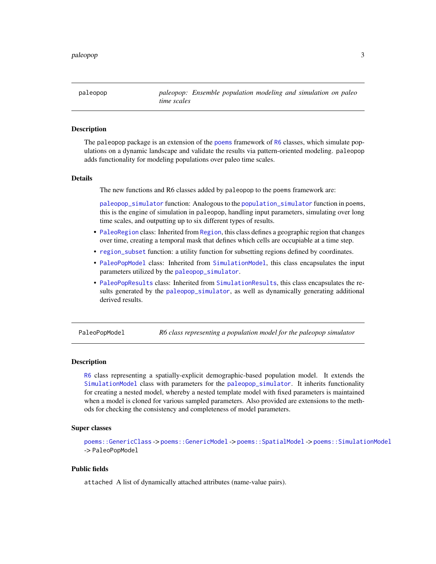<span id="page-2-0"></span>paleopop *paleopop: Ensemble population modeling and simulation on paleo time scales*

### Description

The paleopop package is an extension of the [poems](#page-0-0) framework of [R6](#page-0-0) classes, which simulate populations on a dynamic landscape and validate the results via pattern-oriented modeling. paleopop adds functionality for modeling populations over paleo time scales.

### Details

The new functions and R6 classes added by paleopop to the poems framework are:

[paleopop\\_simulator](#page-7-1) function: Analogous to the [population\\_simulator](#page-0-0) function in poems, this is the engine of simulation in paleopop, handling input parameters, simulating over long time scales, and outputting up to six different types of results.

- [PaleoRegion](#page-10-1) class: Inherited from [Region](#page-0-0), this class defines a geographic region that changes over time, creating a temporal mask that defines which cells are occupiable at a time step.
- [region\\_subset](#page-12-1) function: a utility function for subsetting regions defined by coordinates.
- [PaleoPopModel](#page-2-1) class: Inherited from [SimulationModel](#page-0-0), this class encapsulates the input parameters utilized by the [paleopop\\_simulator](#page-7-1).
- [PaleoPopResults](#page-5-1) class: Inherited from [SimulationResults](#page-0-0), this class encapsulates the results generated by the [paleopop\\_simulator](#page-7-1), as well as dynamically generating additional derived results.

<span id="page-2-1"></span>PaleoPopModel *R6 class representing a population model for the paleopop simulator*

#### Description

[R6](#page-0-0) class representing a spatially-explicit demographic-based population model. It extends the [SimulationModel](#page-0-0) class with parameters for the [paleopop\\_simulator](#page-7-1). It inherits functionality for creating a nested model, whereby a nested template model with fixed parameters is maintained when a model is cloned for various sampled parameters. Also provided are extensions to the methods for checking the consistency and completeness of model parameters.

### Super classes

[poems::GenericClass](#page-0-0) -> [poems::GenericModel](#page-0-0) -> [poems::SpatialModel](#page-0-0) -> [poems::SimulationModel](#page-0-0) -> PaleoPopModel

### Public fields

attached A list of dynamically attached attributes (name-value pairs).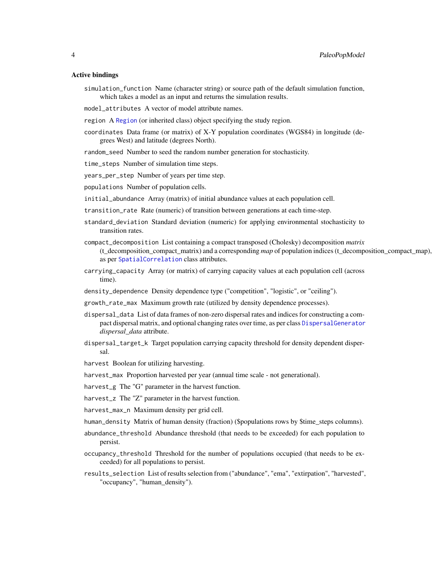### <span id="page-3-0"></span>Active bindings

- simulation\_function Name (character string) or source path of the default simulation function, which takes a model as an input and returns the simulation results.
- model\_attributes A vector of model attribute names.
- region A [Region](#page-0-0) (or inherited class) object specifying the study region.
- coordinates Data frame (or matrix) of X-Y population coordinates (WGS84) in longitude (degrees West) and latitude (degrees North).
- random\_seed Number to seed the random number generation for stochasticity.
- time\_steps Number of simulation time steps.
- years\_per\_step Number of years per time step.
- populations Number of population cells.
- initial\_abundance Array (matrix) of initial abundance values at each population cell.
- transition\_rate Rate (numeric) of transition between generations at each time-step.
- standard\_deviation Standard deviation (numeric) for applying environmental stochasticity to transition rates.
- compact\_decomposition List containing a compact transposed (Cholesky) decomposition *matrix* (t\_decomposition\_compact\_matrix) and a corresponding *map* of population indices (t\_decomposition\_compact\_map), as per [SpatialCorrelation](#page-0-0) class attributes.
- carrying\_capacity Array (or matrix) of carrying capacity values at each population cell (across time).
- density\_dependence Density dependence type ("competition", "logistic", or "ceiling").
- growth\_rate\_max Maximum growth rate (utilized by density dependence processes).
- dispersal\_data List of data frames of non-zero dispersal rates and indices for constructing a compact dispersal matrix, and optional changing rates over time, as per class [DispersalGenerator](#page-0-0) *dispersal\_data* attribute.
- dispersal\_target\_k Target population carrying capacity threshold for density dependent dispersal.
- harvest Boolean for utilizing harvesting.
- harvest\_max Proportion harvested per year (annual time scale not generational).
- harvest\_g The "G" parameter in the harvest function.
- harvest\_z The "Z" parameter in the harvest function.
- harvest\_max\_n Maximum density per grid cell.
- human\_density Matrix of human density (fraction) (\$populations rows by \$time\_steps columns).
- abundance\_threshold Abundance threshold (that needs to be exceeded) for each population to persist.
- occupancy\_threshold Threshold for the number of populations occupied (that needs to be exceeded) for all populations to persist.
- results\_selection List of results selection from ("abundance", "ema", "extirpation", "harvested", "occupancy", "human\_density").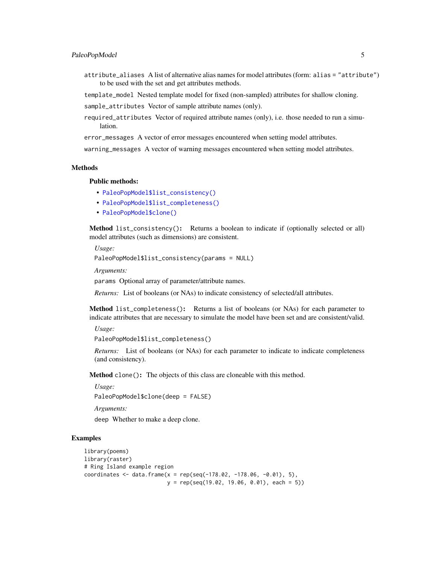### PaleoPopModel 5

attribute\_aliases A list of alternative alias names for model attributes (form: alias = "attribute") to be used with the set and get attributes methods.

template\_model Nested template model for fixed (non-sampled) attributes for shallow cloning.

sample\_attributes Vector of sample attribute names (only).

required\_attributes Vector of required attribute names (only), i.e. those needed to run a simulation.

error\_messages A vector of error messages encountered when setting model attributes.

warning\_messages A vector of warning messages encountered when setting model attributes.

### Methods

### Public methods:

- [PaleoPopModel\\$list\\_consistency\(\)](#page-4-0)
- [PaleoPopModel\\$list\\_completeness\(\)](#page-4-1)
- [PaleoPopModel\\$clone\(\)](#page-4-2)

<span id="page-4-0"></span>Method list\_consistency(): Returns a boolean to indicate if (optionally selected or all) model attributes (such as dimensions) are consistent.

*Usage:*

```
PaleoPopModel$list_consistency(params = NULL)
```
*Arguments:*

params Optional array of parameter/attribute names.

*Returns:* List of booleans (or NAs) to indicate consistency of selected/all attributes.

<span id="page-4-1"></span>Method list\_completeness(): Returns a list of booleans (or NAs) for each parameter to indicate attributes that are necessary to simulate the model have been set and are consistent/valid.

*Usage:*

```
PaleoPopModel$list_completeness()
```
*Returns:* List of booleans (or NAs) for each parameter to indicate to indicate completeness (and consistency).

<span id="page-4-2"></span>Method clone(): The objects of this class are cloneable with this method.

*Usage:* PaleoPopModel\$clone(deep = FALSE)

*Arguments:*

deep Whether to make a deep clone.

```
library(poems)
library(raster)
# Ring Island example region
coordinates \leq data.frame(x = rep(seq(-178.02, -178.06, -0.01), 5),
                          y = rep(seq(19.02, 19.06, 0.01), each = 5)
```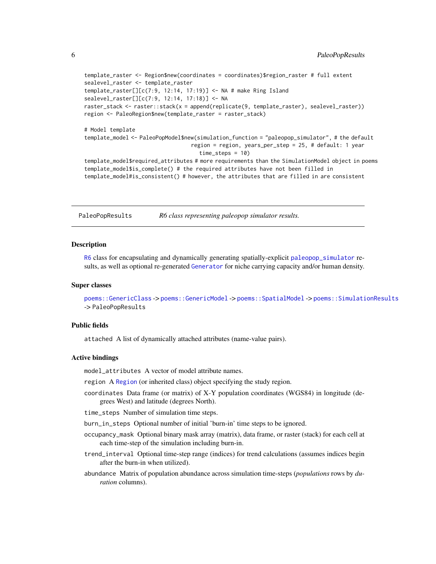template\_raster <- Region\$new(coordinates = coordinates)\$region\_raster # full extent sealevel\_raster <- template\_raster template\_raster[][c(7:9, 12:14, 17:19)] <- NA # make Ring Island sealevel\_raster[][c(7:9, 12:14, 17:18)] <- NA raster\_stack <- raster::stack(x = append(replicate(9, template\_raster), sealevel\_raster)) region <- PaleoRegion\$new(template\_raster = raster\_stack) # Model template template\_model <- PaleoPopModel\$new(simulation\_function = "paleopop\_simulator", # the default region = region, years\_per\_step = 25, # default: 1 year time\_steps = 10) template\_model\$required\_attributes # more requirements than the SimulationModel object in poems template\_model\$is\_complete() # the required attributes have not been filled in template\_model#is\_consistent() # however, the attributes that are filled in are consistent

<span id="page-5-1"></span>PaleoPopResults *R6 class representing paleopop simulator results.*

### **Description**

[R6](#page-0-0) class for encapsulating and dynamically generating spatially-explicit [paleopop\\_simulator](#page-7-1) results, as well as optional re-generated [Generator](#page-0-0) for niche carrying capacity and/or human density.

### Super classes

[poems::GenericClass](#page-0-0) -> [poems::GenericModel](#page-0-0) -> [poems::SpatialModel](#page-0-0) -> [poems::SimulationResults](#page-0-0) -> PaleoPopResults

### Public fields

attached A list of dynamically attached attributes (name-value pairs).

### Active bindings

model\_attributes A vector of model attribute names.

region A [Region](#page-0-0) (or inherited class) object specifying the study region.

coordinates Data frame (or matrix) of X-Y population coordinates (WGS84) in longitude (degrees West) and latitude (degrees North).

time\_steps Number of simulation time steps.

burn\_in\_steps Optional number of initial 'burn-in' time steps to be ignored.

- occupancy\_mask Optional binary mask array (matrix), data frame, or raster (stack) for each cell at each time-step of the simulation including burn-in.
- trend\_interval Optional time-step range (indices) for trend calculations (assumes indices begin after the burn-in when utilized).
- abundance Matrix of population abundance across simulation time-steps (*populations* rows by *duration* columns).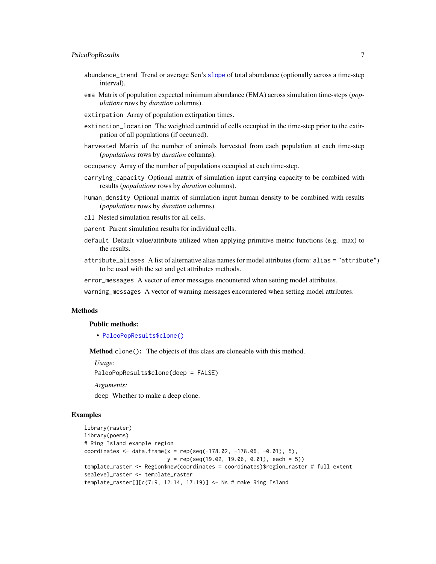- <span id="page-6-0"></span>abundance\_trend Trend or average Sen's [slope](#page-0-0) of total abundance (optionally across a time-step interval).
- ema Matrix of population expected minimum abundance (EMA) across simulation time-steps (*populations* rows by *duration* columns).
- extirpation Array of population extirpation times.
- extinction\_location The weighted centroid of cells occupied in the time-step prior to the extirpation of all populations (if occurred).
- harvested Matrix of the number of animals harvested from each population at each time-step (*populations* rows by *duration* columns).
- occupancy Array of the number of populations occupied at each time-step.
- carrying\_capacity Optional matrix of simulation input carrying capacity to be combined with results (*populations* rows by *duration* columns).
- human\_density Optional matrix of simulation input human density to be combined with results (*populations* rows by *duration* columns).
- all Nested simulation results for all cells.
- parent Parent simulation results for individual cells.
- default Default value/attribute utilized when applying primitive metric functions (e.g. max) to the results.
- attribute\_aliases A list of alternative alias names for model attributes (form: alias = "attribute") to be used with the set and get attributes methods.
- error\_messages A vector of error messages encountered when setting model attributes.
- warning\_messages A vector of warning messages encountered when setting model attributes.

### Methods

### Public methods:

• [PaleoPopResults\\$clone\(\)](#page-4-2)

Method clone(): The objects of this class are cloneable with this method.

*Usage:*

PaleoPopResults\$clone(deep = FALSE)

*Arguments:*

deep Whether to make a deep clone.

```
library(raster)
library(poems)
# Ring Island example region
coordinates <- data.frame(x = rep(seq(-178.02, -178.06, -0.01), 5),
                          y = rep(seq(19.02, 19.06, 0.01), each = 5))
template_raster <- Region$new(coordinates = coordinates)$region_raster # full extent
sealevel_raster <- template_raster
template_raster[][c(7:9, 12:14, 17:19)] <- NA # make Ring Island
```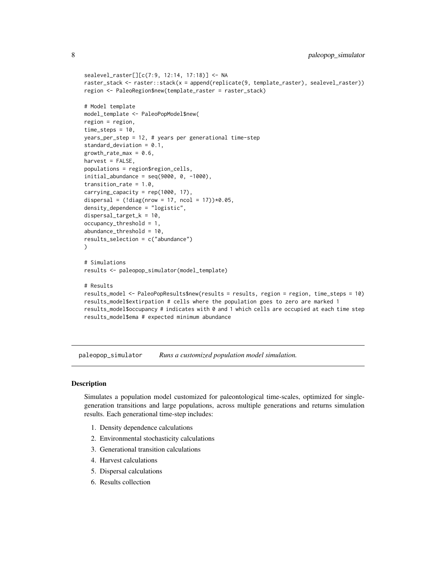```
sealevel_raster[][c(7:9, 12:14, 17:18)] <- NA
raster_stack <- raster::stack(x = append(replicate(9, template_raster), sealevel_raster))
region <- PaleoRegion$new(template_raster = raster_stack)
# Model template
model_template <- PaleoPopModel$new(
region = region,
time_steps = 10,
years_per_step = 12, # years per generational time-step
standard_deviation = 0.1,
growth_rate_max = 0.6,
harvest = FALSE,
populations = region$region_cells,
initial_abundance = seq(9000, 0, -1000),
transition_rate = 1.0,
carrying_capacity = rep(1000, 17),
dispersal = (ldiag(nrow = 17, ncol = 17))*0.05,
density_dependence = "logistic",
dispersal_target_k = 10,
occupancy_threshold = 1,
abundance_threshold = 10,
results_selection = c("abundance")
\lambda# Simulations
results <- paleopop_simulator(model_template)
# Results
results_model <- PaleoPopResults$new(results = results, region = region, time_steps = 10)
results_model$extirpation # cells where the population goes to zero are marked 1
results_model$occupancy # indicates with 0 and 1 which cells are occupied at each time step
results_model$ema # expected minimum abundance
```
<span id="page-7-1"></span>paleopop\_simulator *Runs a customized population model simulation.*

### Description

Simulates a population model customized for paleontological time-scales, optimized for singlegeneration transitions and large populations, across multiple generations and returns simulation results. Each generational time-step includes:

- 1. Density dependence calculations
- 2. Environmental stochasticity calculations
- 3. Generational transition calculations
- 4. Harvest calculations
- 5. Dispersal calculations
- 6. Results collection

<span id="page-7-0"></span>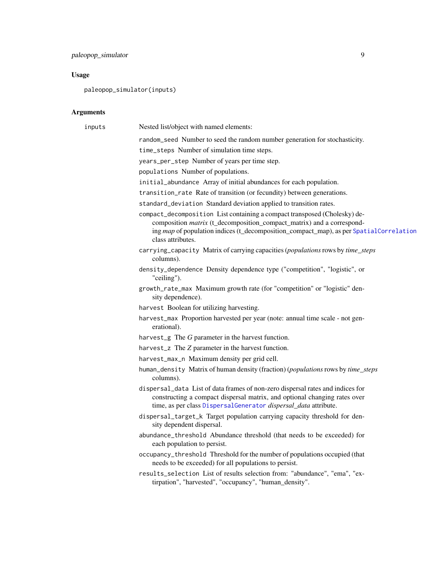### <span id="page-8-0"></span>Usage

paleopop\_simulator(inputs)

### Arguments

| inputs | Nested list/object with named elements:                                                                                                                                                                                                                                  |
|--------|--------------------------------------------------------------------------------------------------------------------------------------------------------------------------------------------------------------------------------------------------------------------------|
|        | random_seed Number to seed the random number generation for stochasticity.                                                                                                                                                                                               |
|        | time_steps Number of simulation time steps.                                                                                                                                                                                                                              |
|        | years_per_step Number of years per time step.                                                                                                                                                                                                                            |
|        | populations Number of populations.                                                                                                                                                                                                                                       |
|        | initial_abundance Array of initial abundances for each population.                                                                                                                                                                                                       |
|        | transition_rate Rate of transition (or fecundity) between generations.                                                                                                                                                                                                   |
|        | standard_deviation Standard deviation applied to transition rates.                                                                                                                                                                                                       |
|        | compact_decomposition List containing a compact transposed (Cholesky) de-<br>composition <i>matrix</i> (t_decomposition_compact_matrix) and a correspond-<br>ing map of population indices (t_decomposition_compact_map), as per SpatialCorrelation<br>class attributes. |
|        | carrying_capacity Matrix of carrying capacities (populations rows by time_steps<br>columns).                                                                                                                                                                             |
|        | density_dependence Density dependence type ("competition", "logistic", or<br>"ceiling").                                                                                                                                                                                 |
|        | growth_rate_max Maximum growth rate (for "competition" or "logistic" den-<br>sity dependence).                                                                                                                                                                           |
|        | harvest Boolean for utilizing harvesting.                                                                                                                                                                                                                                |
|        | harvest_max Proportion harvested per year (note: annual time scale - not gen-<br>erational).                                                                                                                                                                             |
|        | harvest_g The $G$ parameter in the harvest function.                                                                                                                                                                                                                     |
|        | harvest_z The Z parameter in the harvest function.                                                                                                                                                                                                                       |
|        | harvest_max_n Maximum density per grid cell.                                                                                                                                                                                                                             |
|        | human_density Matrix of human density (fraction) (populations rows by time_steps<br>columns).                                                                                                                                                                            |
|        | dispersal_data List of data frames of non-zero dispersal rates and indices for<br>constructing a compact dispersal matrix, and optional changing rates over<br>time, as per class DispersalGenerator dispersal_data attribute.                                           |
|        | dispersal_target_k Target population carrying capacity threshold for den-<br>sity dependent dispersal.                                                                                                                                                                   |
|        | abundance_threshold Abundance threshold (that needs to be exceeded) for<br>each population to persist.                                                                                                                                                                   |
|        | occupancy_threshold Threshold for the number of populations occupied (that<br>needs to be exceeded) for all populations to persist.                                                                                                                                      |
|        | results_selection List of results selection from: "abundance", "ema", "ex-<br>tirpation", "harvested", "occupancy", "human_density".                                                                                                                                     |
|        |                                                                                                                                                                                                                                                                          |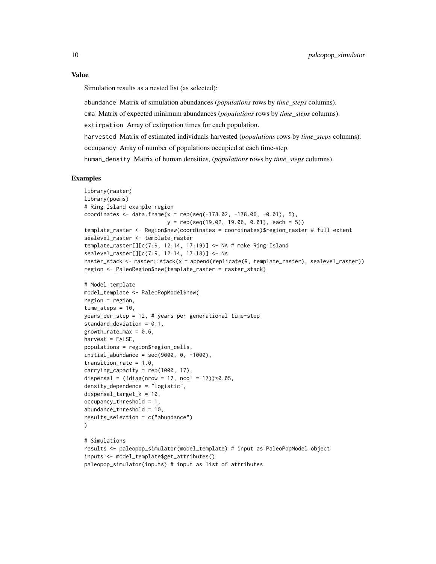#### Value

Simulation results as a nested list (as selected):

abundance Matrix of simulation abundances (*populations* rows by *time\_steps* columns).

ema Matrix of expected minimum abundances (*populations* rows by *time\_steps* columns).

extirpation Array of extirpation times for each population.

harvested Matrix of estimated individuals harvested (*populations* rows by *time\_steps* columns).

occupancy Array of number of populations occupied at each time-step.

human\_density Matrix of human densities, (*populations* rows by *time\_steps* columns).

```
library(raster)
library(poems)
# Ring Island example region
coordinates <- data.frame(x = rep(seq(-178.02, -178.06, -0.01), 5),
                          y = rep(seq(19.02, 19.06, 0.01), each = 5)template_raster <- Region$new(coordinates = coordinates)$region_raster # full extent
sealevel_raster <- template_raster
template_raster[][c(7:9, 12:14, 17:19)] <- NA # make Ring Island
sealevel_raster[][c(7:9, 12:14, 17:18)] <- NA
raster_stack <- raster::stack(x = append(replicate(9, template_raster), sealevel_raster))
region <- PaleoRegion$new(template_raster = raster_stack)
# Model template
model_template <- PaleoPopModel$new(
region = region,
time_steps = 10,
years_per_step = 12, # years per generational time-step
standard_deviation = 0.1,
growth_rate_max = 0.6,
harvest = FALSE,
populations = region$region_cells,
initial_abundance = seq(9000, 0, -1000),
transition_rate = 1.0,
carrying_capacity = rep(1000, 17),
dispersal = (ldiag(nrow = 17, ncol = 17))*0.05,
density_dependence = "logistic",
dispersal_target_k = 10,
occupancy_threshold = 1,
abundance_threshold = 10,
results_selection = c("abundance")
)
# Simulations
results <- paleopop_simulator(model_template) # input as PaleoPopModel object
inputs <- model_template$get_attributes()
paleopop_simulator(inputs) # input as list of attributes
```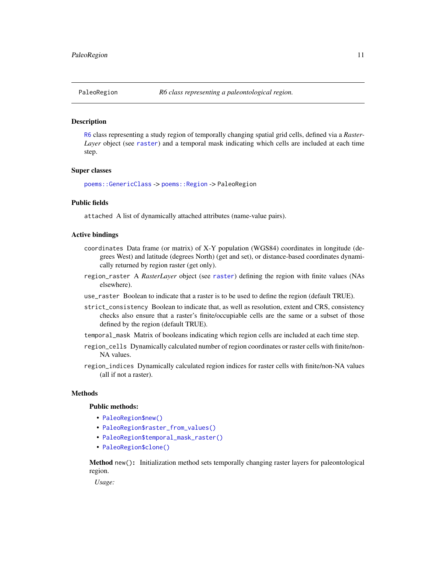<span id="page-10-1"></span><span id="page-10-0"></span>

### Description

[R6](#page-0-0) class representing a study region of temporally changing spatial grid cells, defined via a *Raster-Layer* object (see [raster](#page-0-0)) and a temporal mask indicating which cells are included at each time step.

### Super classes

[poems::GenericClass](#page-0-0) -> [poems::Region](#page-0-0) -> PaleoRegion

### Public fields

attached A list of dynamically attached attributes (name-value pairs).

### Active bindings

- coordinates Data frame (or matrix) of X-Y population (WGS84) coordinates in longitude (degrees West) and latitude (degrees North) (get and set), or distance-based coordinates dynamically returned by region raster (get only).
- region\_raster A *RasterLayer* object (see [raster](#page-0-0)) defining the region with finite values (NAs elsewhere).
- use\_raster Boolean to indicate that a raster is to be used to define the region (default TRUE).
- strict\_consistency Boolean to indicate that, as well as resolution, extent and CRS, consistency checks also ensure that a raster's finite/occupiable cells are the same or a subset of those defined by the region (default TRUE).
- temporal\_mask Matrix of booleans indicating which region cells are included at each time step.
- region\_cells Dynamically calculated number of region coordinates or raster cells with finite/non-NA values.
- region\_indices Dynamically calculated region indices for raster cells with finite/non-NA values (all if not a raster).

### Methods

### Public methods:

- [PaleoRegion\\$new\(\)](#page-10-2)
- [PaleoRegion\\$raster\\_from\\_values\(\)](#page-11-0)
- [PaleoRegion\\$temporal\\_mask\\_raster\(\)](#page-11-1)
- [PaleoRegion\\$clone\(\)](#page-4-2)

<span id="page-10-2"></span>Method new(): Initialization method sets temporally changing raster layers for paleontological region.

*Usage:*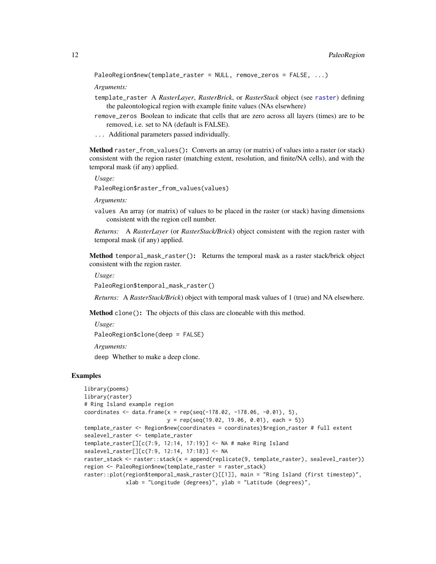```
PaleoRegion$new(template_raster = NULL, remove_zeros = FALSE, ...)
```
*Arguments:*

- template\_raster A *RasterLayer*, *RasterBrick*, or *RasterStack* object (see [raster](#page-0-0)) defining the paleontological region with example finite values (NAs elsewhere)
- remove\_zeros Boolean to indicate that cells that are zero across all layers (times) are to be removed, i.e. set to NA (default is FALSE).
- ... Additional parameters passed individually.

<span id="page-11-0"></span>Method raster\_from\_values(): Converts an array (or matrix) of values into a raster (or stack) consistent with the region raster (matching extent, resolution, and finite/NA cells), and with the temporal mask (if any) applied.

*Usage:*

PaleoRegion\$raster\_from\_values(values)

*Arguments:*

values An array (or matrix) of values to be placed in the raster (or stack) having dimensions consistent with the region cell number.

*Returns:* A *RasterLayer* (or *RasterStack/Brick*) object consistent with the region raster with temporal mask (if any) applied.

<span id="page-11-1"></span>Method temporal\_mask\_raster(): Returns the temporal mask as a raster stack/brick object consistent with the region raster.

*Usage:*

```
PaleoRegion$temporal_mask_raster()
```
*Returns:* A *RasterStack/Brick*) object with temporal mask values of 1 (true) and NA elsewhere.

Method clone(): The objects of this class are cloneable with this method.

*Usage:*

PaleoRegion\$clone(deep = FALSE)

*Arguments:*

deep Whether to make a deep clone.

```
library(poems)
library(raster)
# Ring Island example region
coordinates <- data.frame(x = rep(seq(-178.02, -178.06, -0.01), 5),
                          y = rep(seq(19.02, 19.06, 0.01), each = 5)template_raster <- Region$new(coordinates = coordinates)$region_raster # full extent
sealevel_raster <- template_raster
template_raster[][c(7:9, 12:14, 17:19)] <- NA # make Ring Island
sealevel_raster[][c(7:9, 12:14, 17:18)] <- NA
raster_stack <- raster::stack(x = append(replicate(9, template_raster), sealevel_raster))
region <- PaleoRegion$new(template_raster = raster_stack)
raster::plot(region$temporal_mask_raster()[[1]], main = "Ring Island (first timestep)",
             xlab = "Longitude (degrees)", ylab = "Latitude (degrees)",
```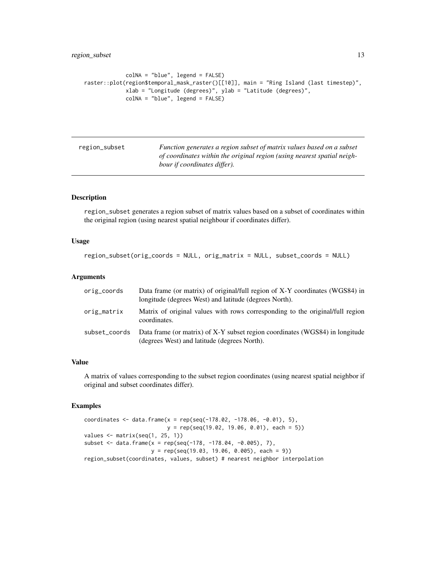```
colNA = "blue", legend = FALSE)
raster::plot(region$temporal_mask_raster()[[10]], main = "Ring Island (last timestep)",
            xlab = "Longitude (degrees)", ylab = "Latitude (degrees)",
             colNA = "blue", legend = FALSE)
```
<span id="page-12-1"></span>

| region_subset | Function generates a region subset of matrix values based on a subset   |
|---------------|-------------------------------------------------------------------------|
|               | of coordinates within the original region (using nearest spatial neigh- |
|               | bour if coordinates differ).                                            |

### Description

region\_subset generates a region subset of matrix values based on a subset of coordinates within the original region (using nearest spatial neighbour if coordinates differ).

### Usage

```
region_subset(orig_coords = NULL, orig_matrix = NULL, subset_coords = NULL)
```
### Arguments

| orig_coords   | Data frame (or matrix) of original/full region of X-Y coordinates (WGS84) in<br>longitude (degrees West) and latitude (degrees North). |
|---------------|----------------------------------------------------------------------------------------------------------------------------------------|
| orig_matrix   | Matrix of original values with rows corresponding to the original full region<br>coordinates.                                          |
| subset_coords | Data frame (or matrix) of X-Y subset region coordinates (WGS84) in longitude<br>(degrees West) and latitude (degrees North).           |

### Value

A matrix of values corresponding to the subset region coordinates (using nearest spatial neighbor if original and subset coordinates differ).

```
coordinates \leq data.frame(x = rep(seq(-178.02, -178.06, -0.01), 5),
                          y = rep(seq(19.02, 19.06, 0.01), each = 5)values \leq matrix(seq(1, 25, 1))
subset \leq data.frame(x = rep(seq(-178, -178.04, -0.005), 7),
                     y = rep(seq(19.03, 19.06, 0.005), each = 9))
region_subset(coordinates, values, subset) # nearest neighbor interpolation
```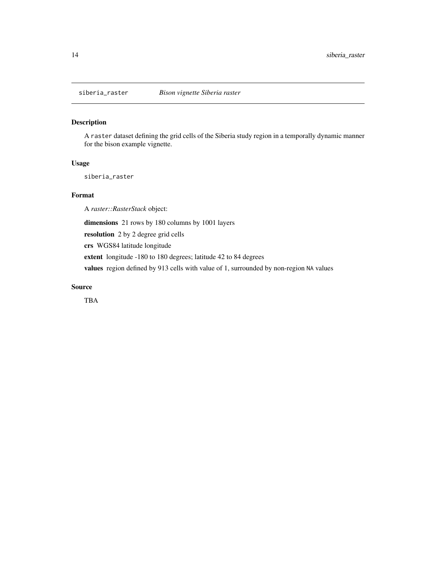<span id="page-13-0"></span>

### Description

A raster dataset defining the grid cells of the Siberia study region in a temporally dynamic manner for the bison example vignette.

### Usage

siberia\_raster

### Format

A *raster::RasterStack* object:

dimensions 21 rows by 180 columns by 1001 layers

resolution 2 by 2 degree grid cells

crs WGS84 latitude longitude

extent longitude -180 to 180 degrees; latitude 42 to 84 degrees

values region defined by 913 cells with value of 1, surrounded by non-region NA values

### Source

TBA